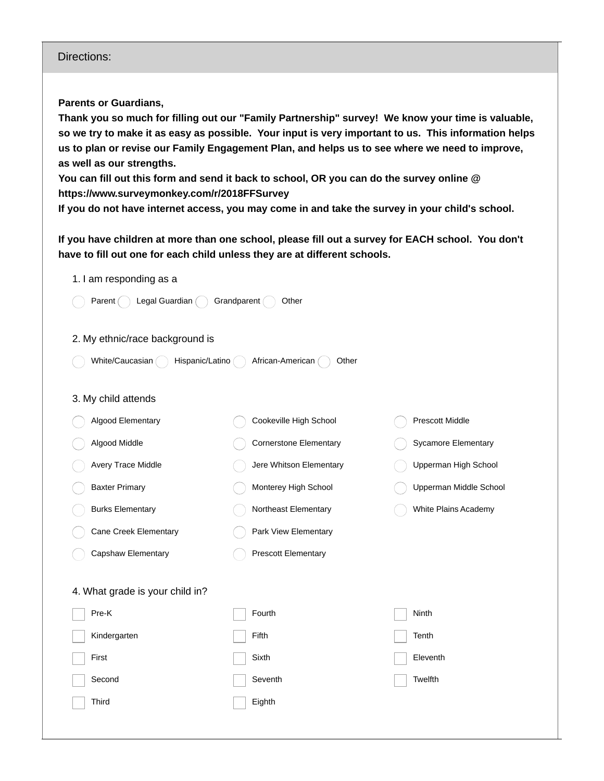## Directions:

**Parents or Guardians,**

**Thank you so much for filling out our "Family Partnership" survey! We know your time is valuable,** so we try to make it as easy as possible. Your input is very important to us. This information helps us to plan or revise our Family Engagement Plan, and helps us to see where we need to improve, **as well as our strengths.**

You can fill out this form and send it back to school, OR you can do the survey online @ **https://www.surveymonkey.com/r/2018FFSurvey**

If you do not have internet access, you may come in and take the survey in your child's school.

If you have children at more than one school, please fill out a survey for EACH school. You don't **have to fill out one for each child unless they are at different schools.**

| 1. I am responding as a                                         |                               |                            |  |  |  |
|-----------------------------------------------------------------|-------------------------------|----------------------------|--|--|--|
| Legal Guardian (<br>Grandparent (<br>Other<br>Parent (          |                               |                            |  |  |  |
| 2. My ethnic/race background is                                 |                               |                            |  |  |  |
| White/Caucasian<br>African-American<br>Hispanic/Latino<br>Other |                               |                            |  |  |  |
| 3. My child attends                                             |                               |                            |  |  |  |
| Algood Elementary                                               | Cookeville High School        | Prescott Middle            |  |  |  |
| Algood Middle                                                   | <b>Cornerstone Elementary</b> | <b>Sycamore Elementary</b> |  |  |  |
| Avery Trace Middle                                              | Jere Whitson Elementary       | Upperman High School       |  |  |  |
| <b>Baxter Primary</b>                                           | Monterey High School          | Upperman Middle School     |  |  |  |
| <b>Burks Elementary</b>                                         | Northeast Elementary          | White Plains Academy       |  |  |  |
| Cane Creek Elementary                                           | Park View Elementary          |                            |  |  |  |
| Capshaw Elementary                                              | <b>Prescott Elementary</b>    |                            |  |  |  |
| 4. What grade is your child in?                                 |                               |                            |  |  |  |
| Pre-K                                                           | Fourth                        | Ninth                      |  |  |  |
| Kindergarten                                                    | Fifth                         | Tenth                      |  |  |  |
| First                                                           | Sixth                         | Eleventh                   |  |  |  |
| Second                                                          | Seventh                       | Twelfth                    |  |  |  |
| Third                                                           | Eighth                        |                            |  |  |  |
|                                                                 |                               |                            |  |  |  |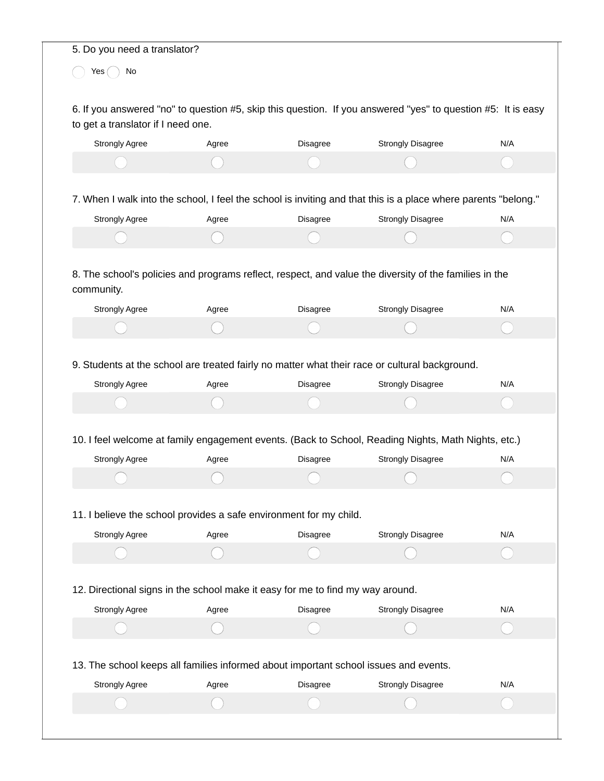|                                                                                      | 5. Do you need a translator? |          |                                                                                                                |     |
|--------------------------------------------------------------------------------------|------------------------------|----------|----------------------------------------------------------------------------------------------------------------|-----|
| Yes<br>No                                                                            |                              |          |                                                                                                                |     |
|                                                                                      |                              |          | 6. If you answered "no" to question #5, skip this question. If you answered "yes" to question #5: It is easy   |     |
| to get a translator if I need one.<br><b>Strongly Agree</b>                          | Agree                        | Disagree | <b>Strongly Disagree</b>                                                                                       | N/A |
|                                                                                      |                              |          |                                                                                                                |     |
|                                                                                      |                              |          |                                                                                                                |     |
|                                                                                      |                              |          | 7. When I walk into the school, I feel the school is inviting and that this is a place where parents "belong." |     |
| Strongly Agree                                                                       | Agree                        | Disagree | <b>Strongly Disagree</b>                                                                                       | N/A |
|                                                                                      |                              |          |                                                                                                                |     |
|                                                                                      |                              |          |                                                                                                                |     |
| community.                                                                           |                              |          | 8. The school's policies and programs reflect, respect, and value the diversity of the families in the         |     |
| Strongly Agree                                                                       | Agree                        | Disagree | <b>Strongly Disagree</b>                                                                                       | N/A |
|                                                                                      |                              |          |                                                                                                                |     |
|                                                                                      |                              |          |                                                                                                                |     |
|                                                                                      |                              |          |                                                                                                                |     |
|                                                                                      |                              |          | 9. Students at the school are treated fairly no matter what their race or cultural background.                 |     |
| Strongly Agree                                                                       | Agree                        | Disagree | <b>Strongly Disagree</b>                                                                                       | N/A |
|                                                                                      |                              |          |                                                                                                                |     |
|                                                                                      |                              |          | 10. I feel welcome at family engagement events. (Back to School, Reading Nights, Math Nights, etc.)            |     |
| <b>Strongly Agree</b>                                                                | Agree                        | Disagree | <b>Strongly Disagree</b>                                                                                       | N/A |
|                                                                                      |                              |          |                                                                                                                |     |
|                                                                                      |                              |          |                                                                                                                |     |
| 11. I believe the school provides a safe environment for my child.                   |                              |          |                                                                                                                | N/A |
| <b>Strongly Agree</b>                                                                | Agree                        | Disagree | <b>Strongly Disagree</b>                                                                                       |     |
|                                                                                      |                              |          |                                                                                                                |     |
| 12. Directional signs in the school make it easy for me to find my way around.       |                              |          |                                                                                                                |     |
| <b>Strongly Agree</b>                                                                | Agree                        | Disagree | <b>Strongly Disagree</b>                                                                                       | N/A |
|                                                                                      |                              |          |                                                                                                                |     |
|                                                                                      |                              |          |                                                                                                                |     |
| 13. The school keeps all families informed about important school issues and events. |                              |          |                                                                                                                |     |
| Strongly Agree                                                                       | Agree                        | Disagree | <b>Strongly Disagree</b>                                                                                       | N/A |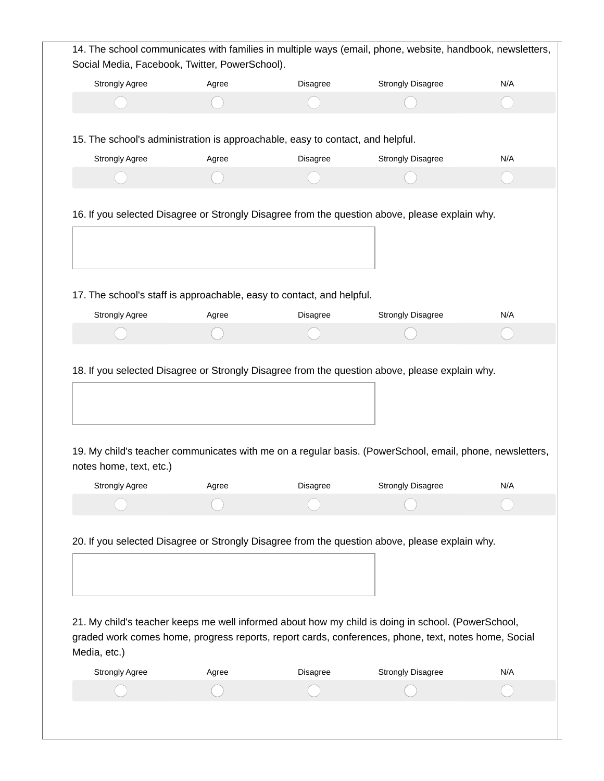| Social Media, Facebook, Twitter, PowerSchool).                                 |       |          | 14. The school communicates with families in multiple ways (email, phone, website, handbook, newsletters,                                                                                                                                                                                                    |     |
|--------------------------------------------------------------------------------|-------|----------|--------------------------------------------------------------------------------------------------------------------------------------------------------------------------------------------------------------------------------------------------------------------------------------------------------------|-----|
| Strongly Agree                                                                 | Agree | Disagree | <b>Strongly Disagree</b>                                                                                                                                                                                                                                                                                     | N/A |
|                                                                                |       |          |                                                                                                                                                                                                                                                                                                              |     |
| 15. The school's administration is approachable, easy to contact, and helpful. |       |          |                                                                                                                                                                                                                                                                                                              |     |
| <b>Strongly Agree</b>                                                          | Agree | Disagree | <b>Strongly Disagree</b>                                                                                                                                                                                                                                                                                     | N/A |
|                                                                                |       |          |                                                                                                                                                                                                                                                                                                              |     |
|                                                                                |       |          | 16. If you selected Disagree or Strongly Disagree from the question above, please explain why.                                                                                                                                                                                                               |     |
| 17. The school's staff is approachable, easy to contact, and helpful.          |       |          |                                                                                                                                                                                                                                                                                                              |     |
|                                                                                |       |          |                                                                                                                                                                                                                                                                                                              |     |
| <b>Strongly Agree</b>                                                          | Agree | Disagree | <b>Strongly Disagree</b><br>18. If you selected Disagree or Strongly Disagree from the question above, please explain why.                                                                                                                                                                                   | N/A |
|                                                                                |       |          | 19. My child's teacher communicates with me on a regular basis. (PowerSchool, email, phone, newsletters,                                                                                                                                                                                                     |     |
| <b>Strongly Agree</b>                                                          | Agree | Disagree | <b>Strongly Disagree</b>                                                                                                                                                                                                                                                                                     | N/A |
| notes home, text, etc.)                                                        |       |          |                                                                                                                                                                                                                                                                                                              |     |
|                                                                                |       |          | 20. If you selected Disagree or Strongly Disagree from the question above, please explain why.<br>21. My child's teacher keeps me well informed about how my child is doing in school. (PowerSchool,<br>graded work comes home, progress reports, report cards, conferences, phone, text, notes home, Social |     |
| Media, etc.)                                                                   |       |          |                                                                                                                                                                                                                                                                                                              |     |
| <b>Strongly Agree</b>                                                          | Agree | Disagree | <b>Strongly Disagree</b>                                                                                                                                                                                                                                                                                     | N/A |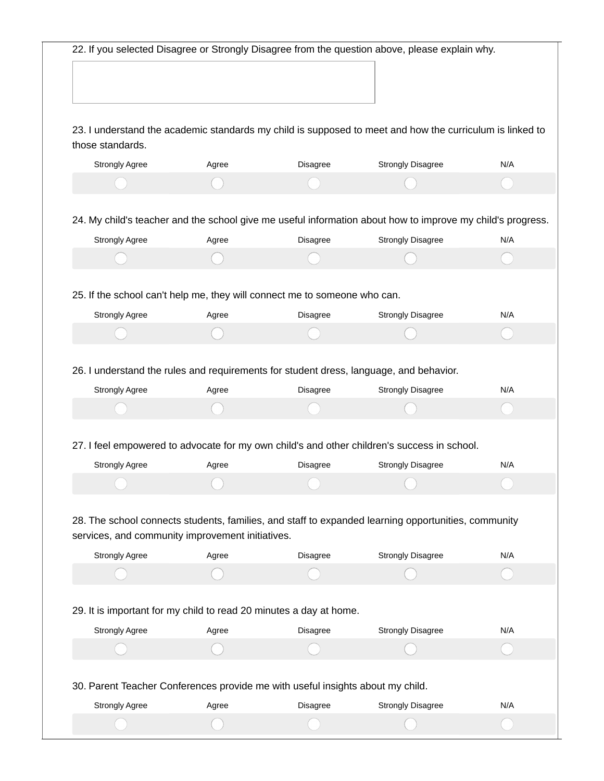|                                                                                |       |                                                                    | 22. If you selected Disagree or Strongly Disagree from the question above, please explain why.             |     |
|--------------------------------------------------------------------------------|-------|--------------------------------------------------------------------|------------------------------------------------------------------------------------------------------------|-----|
|                                                                                |       |                                                                    |                                                                                                            |     |
|                                                                                |       |                                                                    |                                                                                                            |     |
|                                                                                |       |                                                                    |                                                                                                            |     |
| those standards.                                                               |       |                                                                    | 23. I understand the academic standards my child is supposed to meet and how the curriculum is linked to   |     |
| <b>Strongly Agree</b>                                                          | Agree | Disagree                                                           | <b>Strongly Disagree</b>                                                                                   | N/A |
|                                                                                |       |                                                                    |                                                                                                            |     |
|                                                                                |       |                                                                    | 24. My child's teacher and the school give me useful information about how to improve my child's progress. |     |
| Strongly Agree                                                                 | Agree | Disagree                                                           | <b>Strongly Disagree</b>                                                                                   | N/A |
|                                                                                |       |                                                                    |                                                                                                            |     |
|                                                                                |       |                                                                    |                                                                                                            |     |
| 25. If the school can't help me, they will connect me to someone who can.      |       |                                                                    |                                                                                                            |     |
| Strongly Agree                                                                 | Agree | Disagree                                                           | <b>Strongly Disagree</b>                                                                                   | N/A |
|                                                                                |       |                                                                    |                                                                                                            |     |
|                                                                                |       |                                                                    | 26. I understand the rules and requirements for student dress, language, and behavior.                     |     |
| <b>Strongly Agree</b>                                                          | Agree | Disagree                                                           | <b>Strongly Disagree</b>                                                                                   | N/A |
|                                                                                |       |                                                                    |                                                                                                            |     |
|                                                                                |       |                                                                    |                                                                                                            |     |
|                                                                                |       |                                                                    | 27. I feel empowered to advocate for my own child's and other children's success in school.                |     |
| <b>Strongly Agree</b>                                                          | Agree | <b>Disagree</b>                                                    | <b>Strongly Disagree</b>                                                                                   | N/A |
|                                                                                |       |                                                                    |                                                                                                            | Γ   |
|                                                                                |       |                                                                    |                                                                                                            |     |
|                                                                                |       |                                                                    | 28. The school connects students, families, and staff to expanded learning opportunities, community        |     |
| services, and community improvement initiatives.                               |       |                                                                    |                                                                                                            |     |
| <b>Strongly Agree</b>                                                          | Agree | Disagree                                                           | <b>Strongly Disagree</b>                                                                                   | N/A |
|                                                                                |       |                                                                    |                                                                                                            |     |
|                                                                                |       |                                                                    |                                                                                                            |     |
| <b>Strongly Agree</b>                                                          |       |                                                                    |                                                                                                            |     |
|                                                                                |       | 29. It is important for my child to read 20 minutes a day at home. |                                                                                                            | N/A |
|                                                                                | Agree | Disagree                                                           | <b>Strongly Disagree</b>                                                                                   |     |
|                                                                                |       |                                                                    |                                                                                                            |     |
| 30. Parent Teacher Conferences provide me with useful insights about my child. |       |                                                                    |                                                                                                            |     |
| <b>Strongly Agree</b>                                                          | Agree | Disagree                                                           | <b>Strongly Disagree</b>                                                                                   | N/A |
|                                                                                |       |                                                                    |                                                                                                            |     |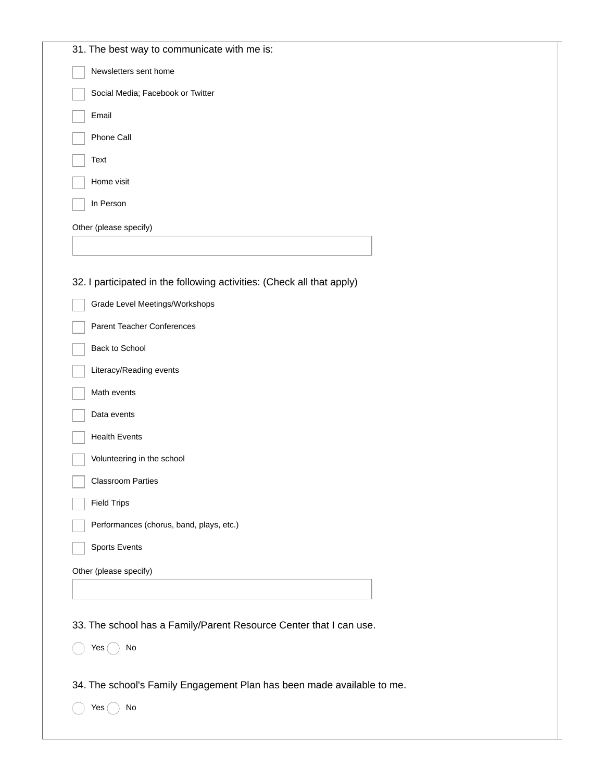| 31. The best way to communicate with me is:                            |
|------------------------------------------------------------------------|
| Newsletters sent home                                                  |
| Social Media; Facebook or Twitter                                      |
| Email                                                                  |
| Phone Call                                                             |
| Text                                                                   |
| Home visit                                                             |
| In Person                                                              |
| Other (please specify)                                                 |
|                                                                        |
|                                                                        |
| 32. I participated in the following activities: (Check all that apply) |
| Grade Level Meetings/Workshops                                         |
| Parent Teacher Conferences                                             |
| Back to School                                                         |
| Literacy/Reading events                                                |
|                                                                        |
| Math events                                                            |
| Data events                                                            |
| <b>Health Events</b>                                                   |
| Volunteering in the school                                             |
| <b>Classroom Parties</b>                                               |
| <b>Field Trips</b>                                                     |
| Performances (chorus, band, plays, etc.)                               |
| <b>Sports Events</b>                                                   |
| Other (please specify)                                                 |
|                                                                        |
|                                                                        |
| 33. The school has a Family/Parent Resource Center that I can use.     |
| No<br>Yes                                                              |
|                                                                        |
| 34. The school's Family Engagement Plan has been made available to me. |
| Yes<br>No                                                              |